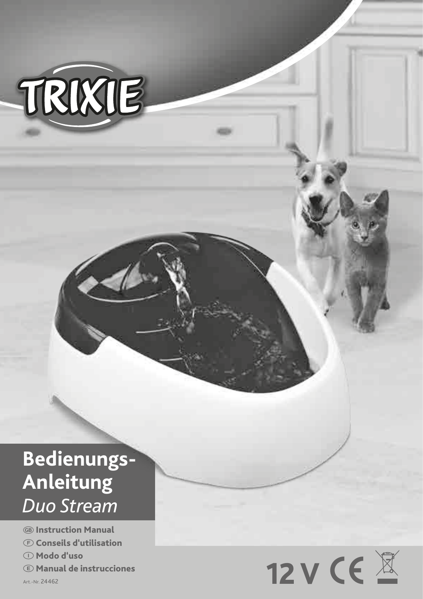

# **Bedienungs-Anleitung** *Duo Stream*

**GB** Instruction Manual F Conseils d'utilisation I Modo d'uso E Manual de instrucciones

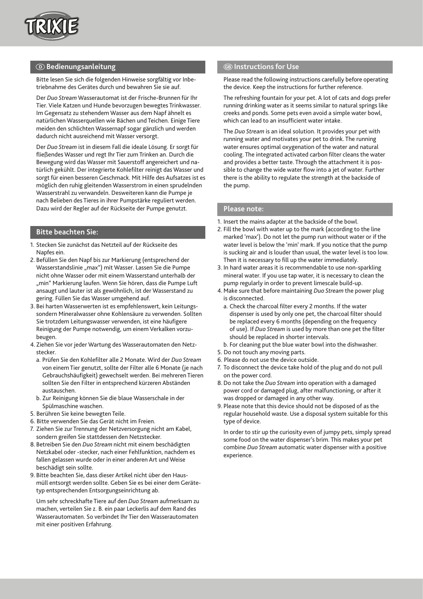

# $\bullet$  **Bedienungsanleitung** GINE CONSTRUCTIONS GINERAL CONSTRUCTIONS For Use

Bitte lesen Sie sich die folgenden Hinweise sorgfältig vor Inbetriebnahme des Gerätes durch und bewahren Sie sie auf.

Der *Duo Stream* Wasserautomat ist der Frische-Brunnen für Ihr Tier. Viele Katzen und Hunde bevorzugen bewegtes Trinkwasser. Im Gegensatz zu stehendem Wasser aus dem Napf ähnelt es natürlichen Wasserquellen wie Bächen und Teichen. Einige Tiere meiden den schlichten Wassernapf sogar gänzlich und werden dadurch nicht ausreichend mit Wasser versorgt.

Der *Duo Stream* ist in diesem Fall die ideale Lösung. Er sorgt für fließendes Wasser und regt Ihr Tier zum Trinken an. Durch die Bewegung wird das Wasser mit Sauerstoff angereichert und natürlich gekühlt. Der integrierte Kohlefilter reinigt das Wasser und sorgt für einen besseren Geschmack. Mit Hilfe des Aufsatzes ist es möglich den ruhig gleitenden Wasserstrom in einen sprudelnden Wasserstrahl zu verwandeln. Desweiteren kann die Pumpe je nach Belieben des Tieres in ihrer Pumpstärke reguliert werden. Dazu wird der Regler auf der Rückseite der Pumpe genutzt.

# **Bitte beachten Sie:**

- 1. Stecken Sie zunächst das Netzteil auf der Rückseite des Napfes ein.
- 2. Befüllen Sie den Napf bis zur Markierung (entsprechend der Wasserstandslinie "max") mit Wasser. Lassen Sie die Pumpe nicht ohne Wasser oder mit einem Wasserstand unterhalb der "min" Markierung laufen. Wenn Sie hören, dass die Pumpe Luft ansaugt und lauter ist als gewöhnlich, ist der Wasserstand zu gering. Füllen Sie das Wasser umgehend auf.
- 3. Bei harten Wasserwerten ist es empfehlenswert, kein Leitungssondern Mineralwasser ohne Kohlensäure zu verwenden. Sollten Sie trotzdem Leitungswasser verwenden, ist eine häufigere Reinigung der Pumpe notwendig, um einem Verkalken vorzubeugen.
- 4. Ziehen Sie vor jeder Wartung des Wasserautomaten den Netzstecker.
	- a. Prüfen Sie den Kohlefilter alle 2 Monate. Wird der *Duo Stream*  von einem Tier genutzt, sollte der Filter alle 6 Monate (je nach Gebrauchshäufigkeit) gewechselt werden. Bei mehreren Tieren sollten Sie den Filter in entsprechend kürzeren Abständen austauschen.
- b. Zur Reinigung können Sie die blaue Wasserschale in der Spülmaschine waschen.
- 5. Berühren Sie keine bewegten Teile.
- 6. Bitte verwenden Sie das Gerät nicht im Freien.
- 7. Ziehen Sie zur Trennung der Netzversorgung nicht am Kabel, sondern greifen Sie stattdessen den Netzstecker.
- 8. Betreiben Sie den *Duo Stream* nicht mit einem beschädigten Netzkabel oder -stecker, nach einer Fehlfunktion, nachdem es fallen gelassen wurde oder in einer anderen Art und Weise beschädigt sein sollte.
- 9. Bitte beachten Sie, dass dieser Artikel nicht über den Hausmüll entsorgt werden sollte. Geben Sie es bei einer dem Gerätetyp entsprechenden Entsorgungseinrichtung ab.

Um sehr schreckhafte Tiere auf den *Duo Stream* aufmerksam zu machen, verteilen Sie z. B. ein paar Leckerlis auf dem Rand des Wasserautomaten. So verbindet Ihr Tier den Wasserautomaten mit einer positiven Erfahrung.

Please read the following instructions carefully before operating the device. Keep the instructions for further reference.

The refreshing fountain for your pet. A lot of cats and dogs prefer running drinking water as it seems similar to natural springs like creeks and ponds. Some pets even avoid a simple water bowl, which can lead to an insufficient water intake.

The *Duo Stream* is an ideal solution. It provides your pet with running water and motivates your pet to drink. The running water ensures optimal oxygenation of the water and natural cooling. The integrated activated carbon filter cleans the water and provides a better taste. Through the attachment it is possible to change the wide water flow into a jet of water. Further there is the ability to regulate the strength at the backside of the pump.

#### **Please note:**

- 1. Insert the mains adapter at the backside of the bowl.
- 2. Fill the bowl with water up to the mark (according to the line marked 'max'). Do not let the pump run without water or if the water level is below the 'min' mark. If you notice that the pump is sucking air and is louder than usual, the water level is too low. Then it is necessary to fill up the water immediately.
- 3. In hard water areas it is recommendable to use non-sparkling mineral water. If you use tap water, it is necessary to clean the pump regularly in order to prevent limescale build-up.
- 4. Make sure that before maintaining *Duo Stream* the power plug is disconnected.
	- a. Check the charcoal filter every 2 months. If the water dispenser is used by only one pet, the charcoal filter should be replaced every 6 months (depending on the frequency of use). If *Duo Stream* is used by more than one pet the filter should be replaced in shorter intervals.
	- b. For cleaning put the blue water bowl into the dishwasher.
- 5. Do not touch any moving parts.
- 6. Please do not use the device outside.
- 7. To disconnect the device take hold of the plug and do not pull on the power cord.
- 8.Do not take the *Duo Stream* into operation with a damaged power cord or damaged plug, after malfunctioning, or after it was dropped or damaged in any other way.
- 9. Please note that this device should not be disposed of as the regular household waste. Use a disposal system suitable for this type of device.

In order to stir up the curiosity even of jumpy pets, simply spread some food on the water dispenser's brim. This makes your pet combine *Duo Stream* automatic water dispenser with a positive experience.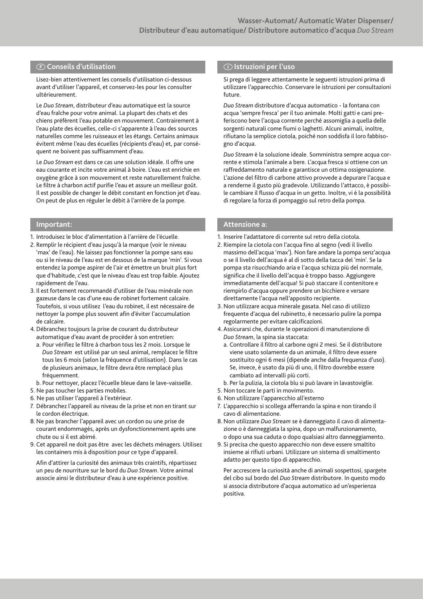# F**Conseils d'utilisation** I**Istruzioni per l'uso**

Lisez-bien attentivement les conseils d'utilisation ci-dessous avant d'utiliser l'appareil, et conservez-les pour les consulter ultérieurement.

Le *Duo Stream*, distributeur d'eau automatique est la source d'eau fraîche pour votre animal. La plupart des chats et des chiens préfèrent l'eau potable en mouvement. Contrairement à l'eau plate des écuelles, celle-ci s'apparente à l'eau des sources naturelles comme les ruisseaux et les étangs. Certains animaux évitent même l'eau des écuelles (récipients d'eau) et, par conséquent ne boivent pas suffisamment d'eau.

Le *Duo Stream* est dans ce cas une solution idéale. Il offre une eau courante et incite votre animal à boire. L'eau est enrichie en oxygène grâce à son mouvement et reste naturellement fraîche. Le filtre à charbon actif purifie l'eau et assure un meilleur goût. Il est possible de changer le débit constant en fonction jet d'eau. On peut de plus en réguler le débit à l'arrière de la pompe.

- 1. Introduisez le bloc d'alimentation à l'arrière de l'écuelle.
- 2. Remplir le récipient d'eau jusqu'à la marque (voir le niveau 'max' de l'eau). Ne laissez pas fonctionner la pompe sans eau ou si le niveau de l'eau est en dessous de la marque 'min'. Si vous entendez la pompe aspirer de l'air et émettre un bruit plus fort que d'habitude, c'est que le niveau d'eau est trop faible. Ajoutez rapidement de l'eau.
- 3. Il est fortement recommandé d'utiliser de l'eau minérale non gazeuse dans le cas d'une eau de robinet fortement calcaire. Toutefois, si vous utilisez l'eau du robinet, il est nécessaire de nettoyer la pompe plus souvent afin d'éviter l'accumulation de calcaire.
- 4.Débranchez toujours la prise de courant du distributeur automatique d'eau avant de procéder à son entretien:
	- a. Pour vérifiez le filtre à charbon tous les 2 mois. Lorsque le *Duo Stream* est utilisé par un seul animal, remplacez le filtre tous les 6 mois (selon la fréquence d'utilisation). Dans le cas de plusieurs animaux, le filtre devra être remplacé plus fréquemment.
- b. Pour nettoyer, placez l'écuelle bleue dans le lave-vaisselle.
- 5. Ne pas toucher les parties mobiles.
- 6. Ne pas utiliser l'appareil à l'extérieur.
- 7. Débranchez l'appareil au niveau de la prise et non en tirant sur le cordon électrique.
- 8. Ne pas brancher l'appareil avec un cordon ou une prise de courant endommagés, après un dysfonctionnement après une chute ou si il est abimé.
- 9. Cet appareil ne doit pas être avec les déchets ménagers. Utilisez les containers mis à disposition pour ce type d'appareil.

Afin d'attirer la curiosité des animaux très craintifs, répartissez un peu de nourriture sur le bord du *Duo Stream*. Votre animal associe ainsi le distributeur d'eau à une expérience positive.

Si prega di leggere attentamente le seguenti istruzioni prima di utilizzare l'apparecchio. Conservare le istruzioni per consultazioni future.

*Duo Stream* distributore d'acqua automatico - la fontana con acqua 'sempre fresca' per il tuo animale. Molti gatti e cani preferiscono bere l'acqua corrente perché assomiglia a quella delle sorgenti naturali come fiumi o laghetti. Alcuni animali, inoltre, rifiutano la semplice ciotola, poiché non soddisfa il loro fabbisogno d'acqua.

*Duo Stream* è la soluzione ideale. Somministra sempre acqua corrente e stimola l'animale a bere. L'acqua fresca si ottiene con un raffreddamento naturale e garantisce un ottima ossigenazione. L'azione del filtro di carbone attivo provvede a depurare l'acqua e a renderne il gusto più gradevole. Utilizzando l'attacco, è possibile cambiare il flusso d'acqua in un getto. Inoltre, vi è la possibilità di regolare la forza di pompaggio sul retro della pompa.

#### **Important:** Attenzione a: **Attenzione a: Attenzione a: Attenzione a:**

- 1. Inserire l'adattatore di corrente sul retro della ciotola.
- 2. Riempire la ciotola con l'acqua fino al segno (vedi il livello massimo dell'acqua 'max'). Non fare andare la pompa senz'acqua o se il livello dell'acqua è al di sotto della tacca del 'min'. Se la pompa sta risucchiando aria e l'acqua schizza più del normale, significa che il livello dell'acqua è troppo basso. Aggiungere immediatamente dell'acqua! Si può staccare il contenitore e riempirlo d'acqua oppure prendere un bicchiere e versare direttamente l'acqua nell'apposito recipiente.
- 3. Non utilizzare acqua minerale gasata. Nel caso di utilizzo frequente d'acqua del rubinetto, è necessario pulire la pompa regolarmente per evitare calcificazioni.
- 4.Assicurarsi che, durante le operazioni di manutenzione di *Duo Stream*, la spina sia staccata:
	- a. Controllare il filtro al carbone ogni 2 mesi. Se il distributore viene usato solamente da un animale, il filtro deve essere sostituito ogni 6 mesi (dipende anche dalla frequenza d'uso). Se, invece, è usato da più di uno, il filtro dovrebbe essere cambiato ad intervalli più corti.
- b. Per la pulizia, la ciotola blu si può lavare in lavastoviglie.
- 5. Non toccare le parti in movimento.
- 6. Non utilizzare l'apparecchio all'esterno
- 7. L'apparecchio si scollega afferrando la spina e non tirando il cavo di alimentazione.
- 8. Non utilizzare *Duo Stream* se è danneggiato il cavo di alimentazione o è danneggiata la spina, dopo un malfunzionamento, o dopo una sua caduta o dopo qualsiasi altro danneggiamento.
- 9. Si precisa che questo apparecchio non deve essere smaltito insieme ai rifiuti urbani. Utilizzare un sistema di smaltimento adatto per questo tipo di apparecchio.

Per accrescere la curiosità anche di animali sospettosi, spargete del cibo sul bordo del *Duo Stream* distributore. In questo modo si associa distributore d'acqua automatico ad un'esperienza positiva.